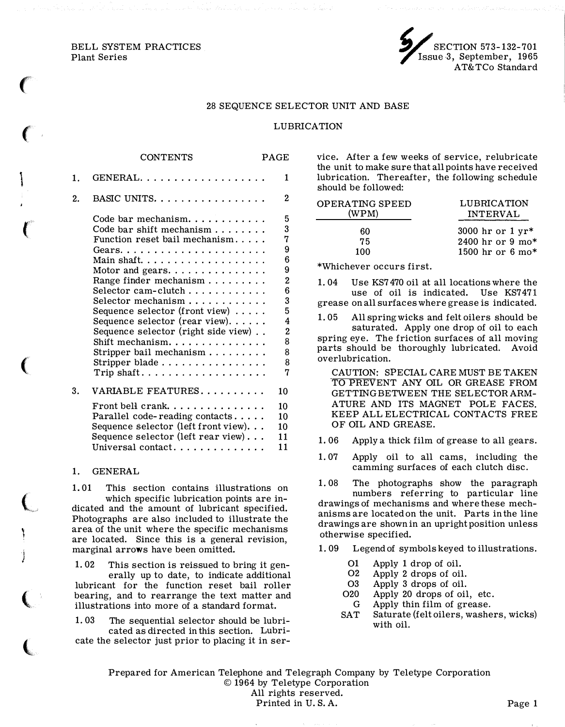BELL SYSTEM PRACTICES Plant Series

 $\big($ 

 $\left($ 

 $\ddot{\phantom{0}}$ 

 $\mathcal{C}$ 

 $\overline{(\ }$ 

 $\overline{\mathbf{C}}$ 

١.

I J

 $\big($ 

t



#### 28 SEQUENCE SELECTOR UNIT AND BASE

#### LUBRICATION

|    | CONTENTS                                                                                                                                                                                                                                                                                                                                                                                                                                                                                    | <b>PAGE</b>                                                                                         |
|----|---------------------------------------------------------------------------------------------------------------------------------------------------------------------------------------------------------------------------------------------------------------------------------------------------------------------------------------------------------------------------------------------------------------------------------------------------------------------------------------------|-----------------------------------------------------------------------------------------------------|
| 1. | GENERAL.                                                                                                                                                                                                                                                                                                                                                                                                                                                                                    | 1                                                                                                   |
| 2. | BASIC UNITS.                                                                                                                                                                                                                                                                                                                                                                                                                                                                                | 2                                                                                                   |
|    | Code bar mechanism<br>Code bar shift mechanism $\ldots$ ,<br>Function reset bail mechanism<br>Main shaft.<br>Motor and gears. $\dots \dots \dots \dots$<br>Range finder mechanism<br>Selector cam-clutch<br>Selector mechanism<br>Sequence selector (front view)<br>Sequence selector (rear view)<br>Sequence selector (right side view)<br>Shift mechanism.<br>Stripper bail mechanism $\ldots \ldots \ldots$<br>Stripper blade<br>$\text{Trip shaft.}\dots\dots\dots\dots\dots\dots\dots$ | 5<br>3<br>7<br>9<br>6<br>9<br>$\mathbf 2$<br>6<br>3<br>5<br>4<br>$\overline{2}$<br>8<br>8<br>8<br>7 |
| 3. | VARIABLE FEATURES                                                                                                                                                                                                                                                                                                                                                                                                                                                                           | 10                                                                                                  |
|    | Front bell crank. $\ldots$<br>Parallel code-reading contacts<br>Sequence selector (left front view).<br>Sequence selector (left rear view)<br>Universal contact                                                                                                                                                                                                                                                                                                                             | 10<br>10<br>10<br>11<br>11                                                                          |

#### 1. GENERAL

1. 01 This section contains illustrations on which specific lubrication points are indicated and the amount of lubricant specified. Photographs are also included to illustrate the area of the unit where the specific mechanisms are located. Since this is a general revision, marginal arrows have been omitted.

1. 02 This section is reissued to bring it generally up to date, to indicate additional lubricant for the function reset bail roller bearing, and to rearrange the text matter and illustrations into more of a standard format.

1. 03 The sequential selector should be lubricated as directed in this section. Lubricate the selector just prior to placing it in service. Mter a few weeks of service, relubricate the unit to make sure that all points have received lubrication. Thereafter, the following schedule should be followed:

| LUBRICATION<br><b>INTERVAL</b> |
|--------------------------------|
| 3000 hr or $1 yr*$             |
| 2400 hr or 9 mo*               |
| 1500 hr or 6 mo*               |
|                                |

\*Whichever occurs first.

1. 04 Use KS7 470 oil at all locations where the use of oil is indicated. Use KS7471 grease on all surfaces where grease is indicated.

1. 05 All spring wicks and felt oilers should be saturated. Apply one drop of oil to each spring eye. The friction surfaces of all moving parts should be thoroughly lubricated. Avoid overlubrication.

CAUTION: SPECIAL CARE MUST BE TAKEN TO PREVENT ANY OIL OR GREASE FROM GETTING BETWEEN THE SELECTOR ARM-ATURE AND ITS MAGNET POLE FACES. KEEP ALL ELECTRICAL CONTACTS FREE OF OIL AND GREASE.

- 1. 06 Apply a thick film of grease to all gears.
- 1. 07 Apply oil to all cams, including the camming surfaces of each clutch disc.
- 1. 08 The photographs show the paragraph numbers referring to particular line drawings of mechanisms and where these mechanisms are located on the unit. Parts in the line drawings are shown in an upright position unless otherwise specified.
- 1. 09 Legend of symbols keyed to illustrations.
	- 01 Apply 1 drop of oil.
	- 02 Apply 2 drops of oil.
	- 03 Apply 3 drops of oil.
	- 020 Apply 20 drops of oil, etc. G Apply thin film of grease.
	- SAT Saturate (felt oilers, washers, wicks) with oil.

Prepared for American Telephone and Telegraph Company by Teletype Corporation © 1964 by Teletype Corporation All rights reserved. Printed in U.S.A. Page 1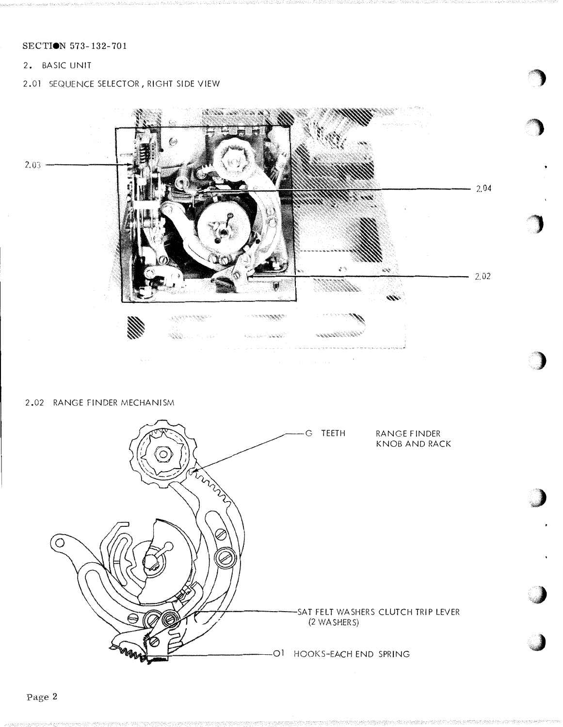2. BASIC UNIT

2.01 SEQUENCE SELECTOR, RIGHT SIDE VIEW



2.02 RANGE FINDER MECHANISM

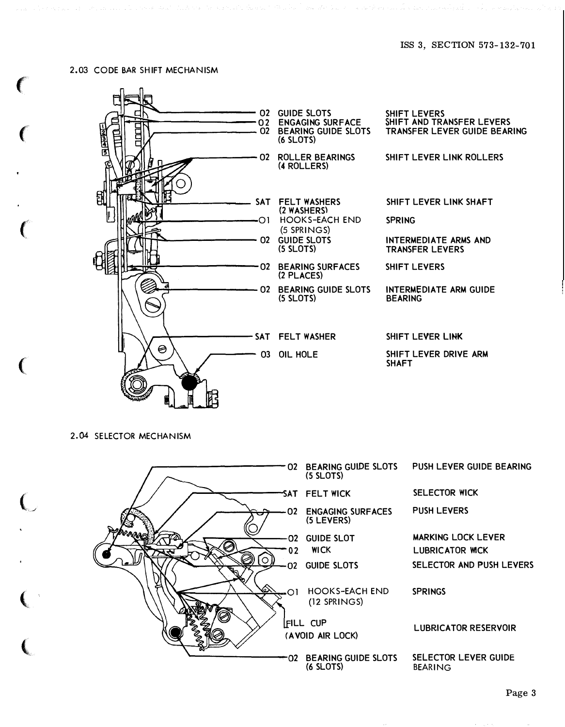#### 2.03 CODE BAR SHIFT MECHANISM

f

 $\epsilon$ 

 $\big($ 

 $\big($ 

 $\bigcup$ 

 $\overline{\mathbb{C}}$ 

 $\left(\right.$ 



2.04 SELECTOR MECHANISM

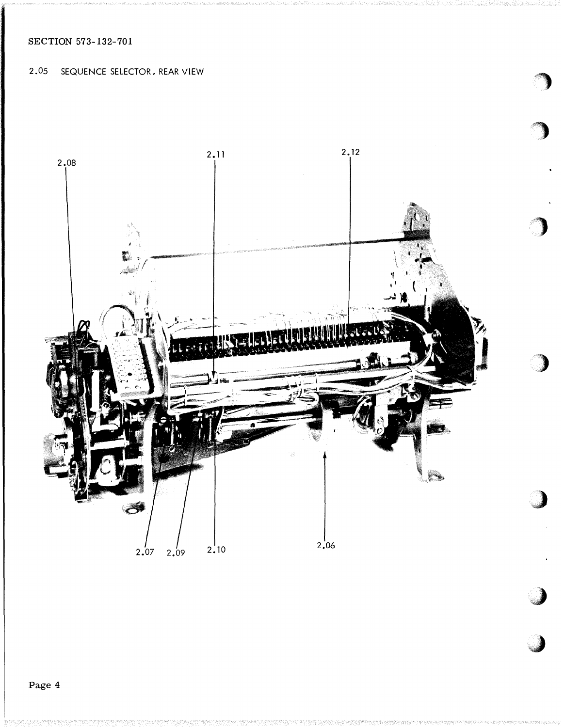2.05 SEQUENCE SELECTOR, REAR VIEW

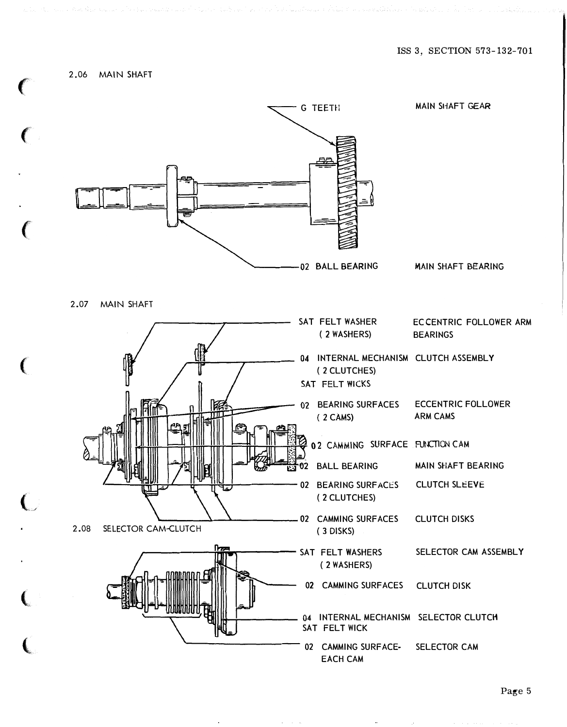## 2.06 MAIN SHAFT

**CONTRACTOR** 

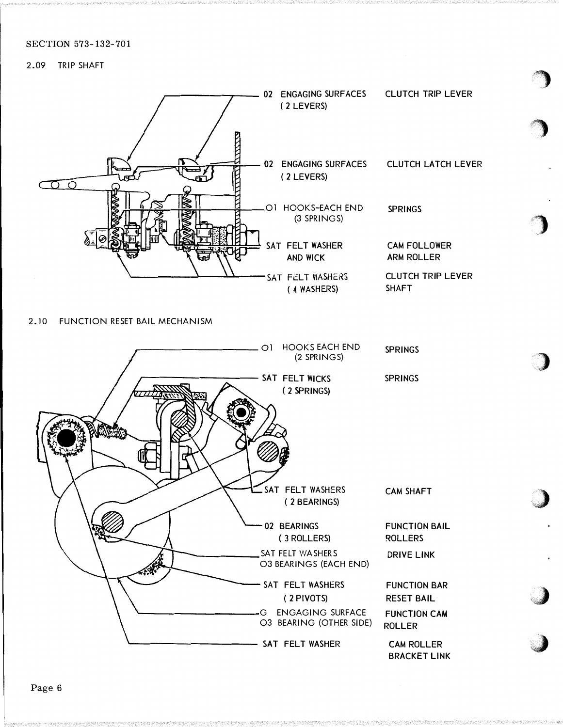## 2.09 TRIP SHAFT



 $\blacksquare$ 

#### 2.10 FUNCTION RESET BAIL MECHANISM

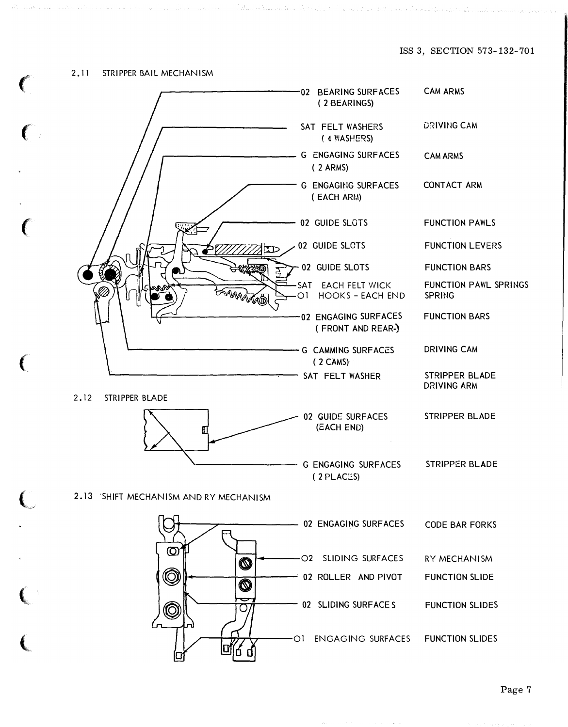$\big($ 

 $\big($ 

 $\big($ 

 $\big($ 

 $\bigcup$ 

 $\big($ 

 $\overline{\mathbf{C}}$ 

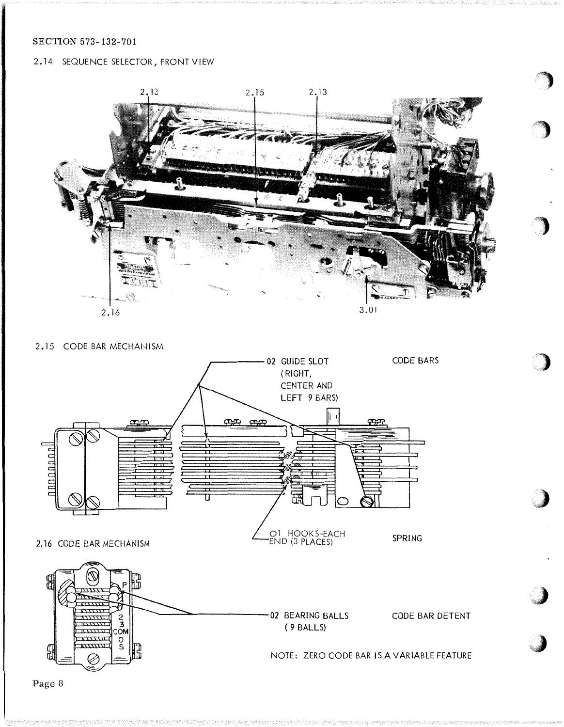## 2.14 SEQUENCE SELECTOR, FRONT VIEW



# 2.15 CODE BAR MECHANISM



Page 8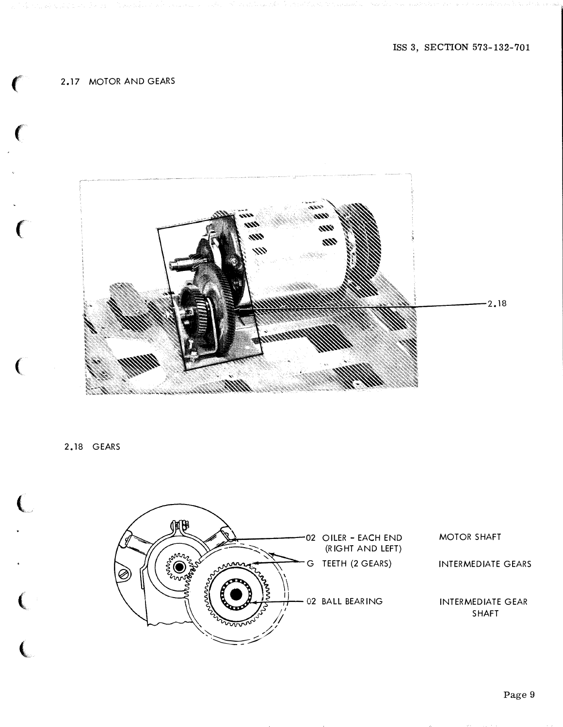# 2.17 MOTOR AND GEARS



2.18 GEARS

 $\big($ 

 $\overline{(\}$ 

 $\big($ 

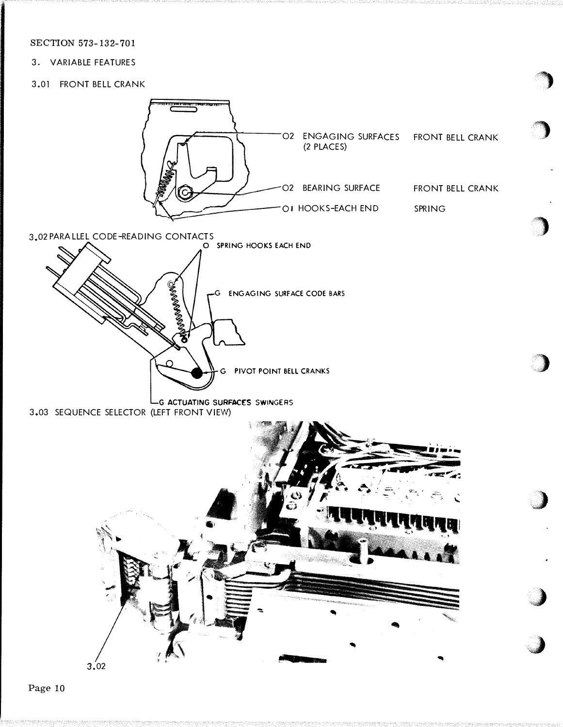3. VARIABLE FEATURES

## 3.01 FRONT BELL CRANK

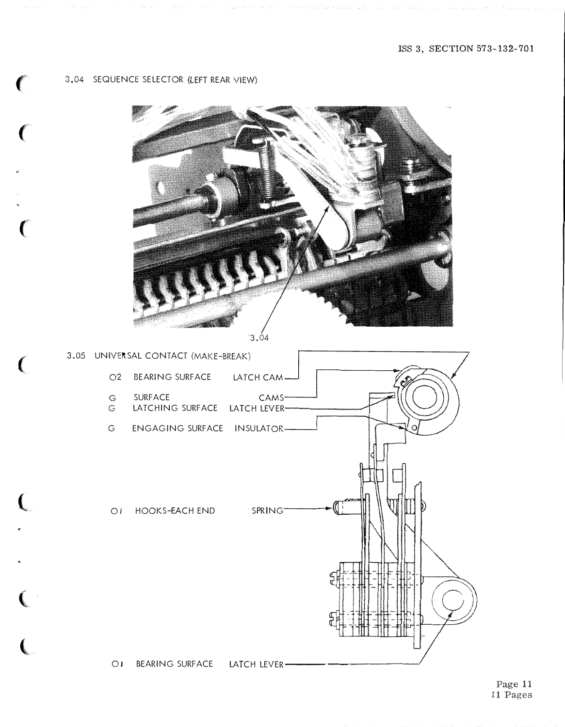#### 3.04 SEQUENCE SELECTOR (LEFT REAR VIEW)

€



 $3.04$